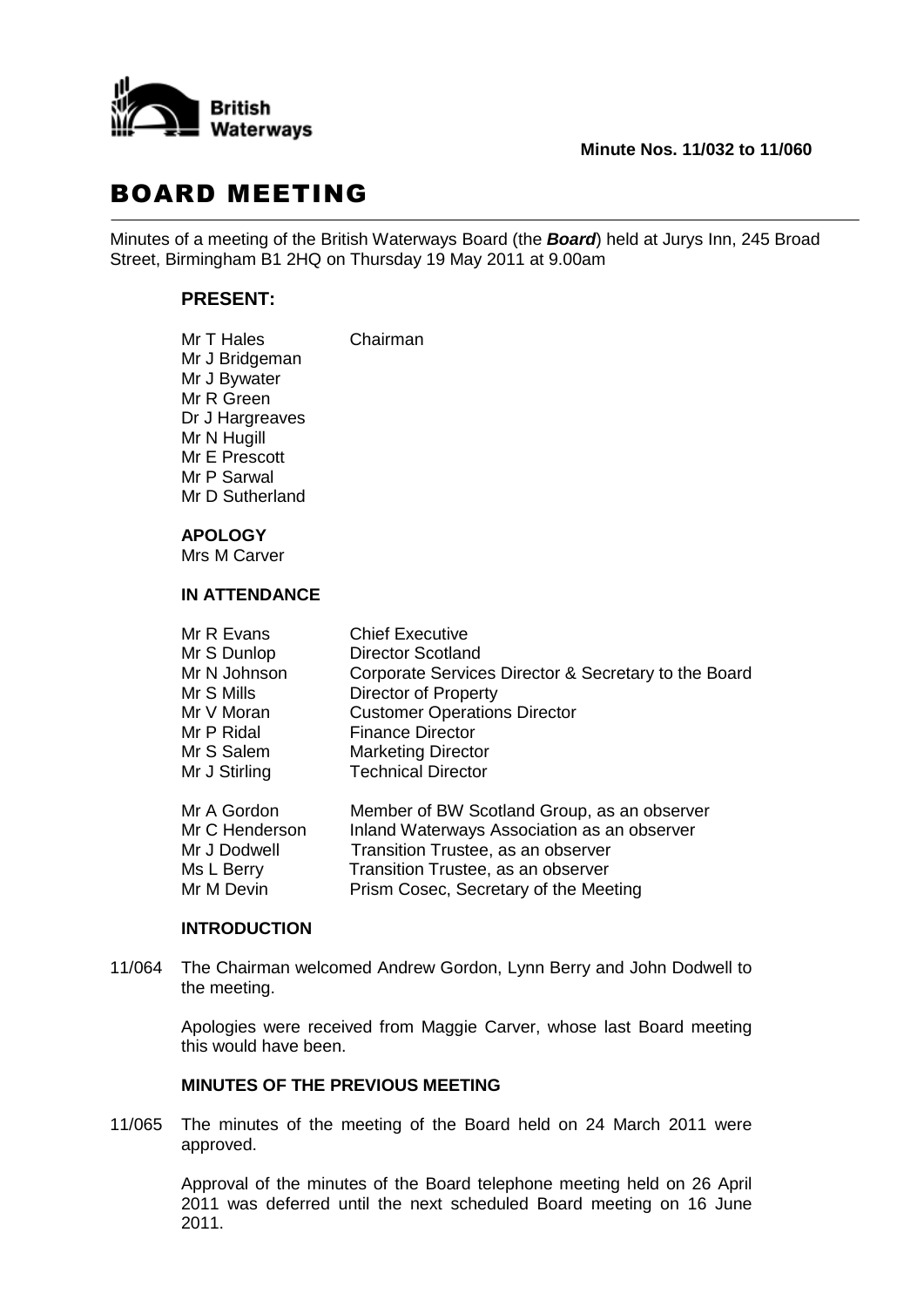

## **Minute Nos. 11/032 to 11/060**

## BOARD MEETING

Minutes of a meeting of the British Waterways Board (the *Board*) held at Jurys Inn, 245 Broad Street, Birmingham B1 2HQ on Thursday 19 May 2011 at 9.00am

## **PRESENT:**

| Mr T Hales      | Chairman |
|-----------------|----------|
| Mr J Bridgeman  |          |
| Mr J Bywater    |          |
| Mr R Green      |          |
| Dr J Hargreaves |          |
| Mr N Hugill     |          |
| Mr E Prescott   |          |
| Mr P Sarwal     |          |
| Mr D Sutherland |          |
|                 |          |

## **APOLOGY**

Mrs M Carver

## **IN ATTENDANCE**

| Mr R Evans     | <b>Chief Executive</b>                               |
|----------------|------------------------------------------------------|
| Mr S Dunlop    | <b>Director Scotland</b>                             |
| Mr N Johnson   | Corporate Services Director & Secretary to the Board |
| Mr S Mills     | <b>Director of Property</b>                          |
| Mr V Moran     | <b>Customer Operations Director</b>                  |
| Mr P Ridal     | <b>Finance Director</b>                              |
| Mr S Salem     | <b>Marketing Director</b>                            |
| Mr J Stirling  | <b>Technical Director</b>                            |
| Mr A Gordon    | Member of BW Scotland Group, as an observer          |
| Mr C Henderson | Inland Waterways Association as an observer          |
| Mr J Dodwell   | Transition Trustee, as an observer                   |

# **INTRODUCTION**

11/064 The Chairman welcomed Andrew Gordon, Lynn Berry and John Dodwell to the meeting.

Ms L Berry Transition Trustee, as an observer Mr M Devin Prism Cosec, Secretary of the Meeting

Apologies were received from Maggie Carver, whose last Board meeting this would have been.

### **MINUTES OF THE PREVIOUS MEETING**

11/065 The minutes of the meeting of the Board held on 24 March 2011 were approved.

> Approval of the minutes of the Board telephone meeting held on 26 April 2011 was deferred until the next scheduled Board meeting on 16 June 2011.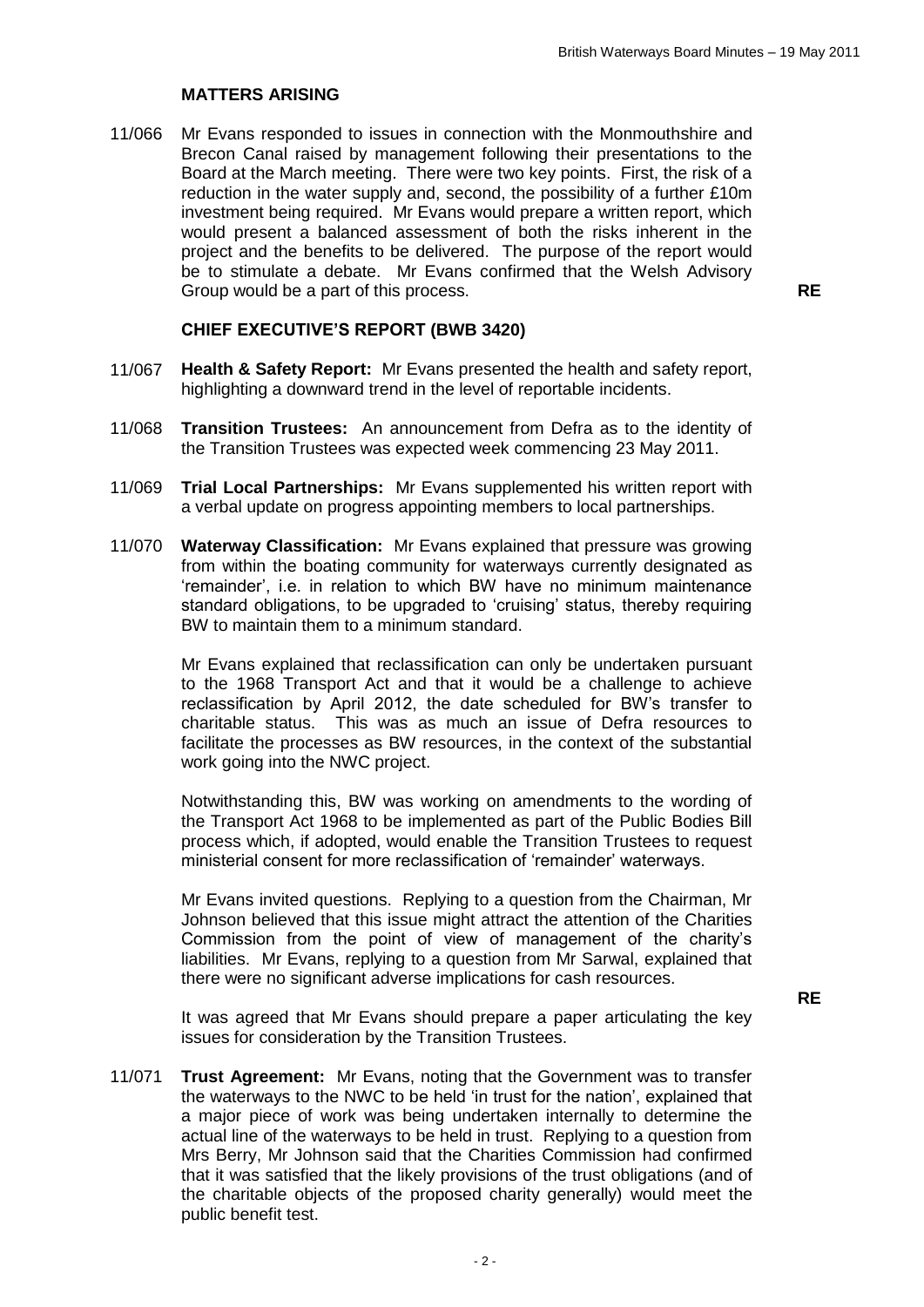## **MATTERS ARISING**

11/066 Mr Evans responded to issues in connection with the Monmouthshire and Brecon Canal raised by management following their presentations to the Board at the March meeting. There were two key points. First, the risk of a reduction in the water supply and, second, the possibility of a further £10m investment being required. Mr Evans would prepare a written report, which would present a balanced assessment of both the risks inherent in the project and the benefits to be delivered. The purpose of the report would be to stimulate a debate. Mr Evans confirmed that the Welsh Advisory Group would be a part of this process. **RE**

**RE**

## **CHIEF EXECUTIVE'S REPORT (BWB 3420)**

- 11/067 **Health & Safety Report:** Mr Evans presented the health and safety report, highlighting a downward trend in the level of reportable incidents.
- 11/068 **Transition Trustees:** An announcement from Defra as to the identity of the Transition Trustees was expected week commencing 23 May 2011.
- 11/069 **Trial Local Partnerships:** Mr Evans supplemented his written report with a verbal update on progress appointing members to local partnerships.
- 11/070 **Waterway Classification:** Mr Evans explained that pressure was growing from within the boating community for waterways currently designated as 'remainder', i.e. in relation to which BW have no minimum maintenance standard obligations, to be upgraded to 'cruising' status, thereby requiring BW to maintain them to a minimum standard.

Mr Evans explained that reclassification can only be undertaken pursuant to the 1968 Transport Act and that it would be a challenge to achieve reclassification by April 2012, the date scheduled for BW's transfer to charitable status. This was as much an issue of Defra resources to facilitate the processes as BW resources, in the context of the substantial work going into the NWC project.

Notwithstanding this, BW was working on amendments to the wording of the Transport Act 1968 to be implemented as part of the Public Bodies Bill process which, if adopted, would enable the Transition Trustees to request ministerial consent for more reclassification of 'remainder' waterways.

Mr Evans invited questions. Replying to a question from the Chairman, Mr Johnson believed that this issue might attract the attention of the Charities Commission from the point of view of management of the charity's liabilities. Mr Evans, replying to a question from Mr Sarwal, explained that there were no significant adverse implications for cash resources.

It was agreed that Mr Evans should prepare a paper articulating the key issues for consideration by the Transition Trustees.

11/071 **Trust Agreement:** Mr Evans, noting that the Government was to transfer the waterways to the NWC to be held 'in trust for the nation', explained that a major piece of work was being undertaken internally to determine the actual line of the waterways to be held in trust. Replying to a question from Mrs Berry, Mr Johnson said that the Charities Commission had confirmed that it was satisfied that the likely provisions of the trust obligations (and of the charitable objects of the proposed charity generally) would meet the public benefit test.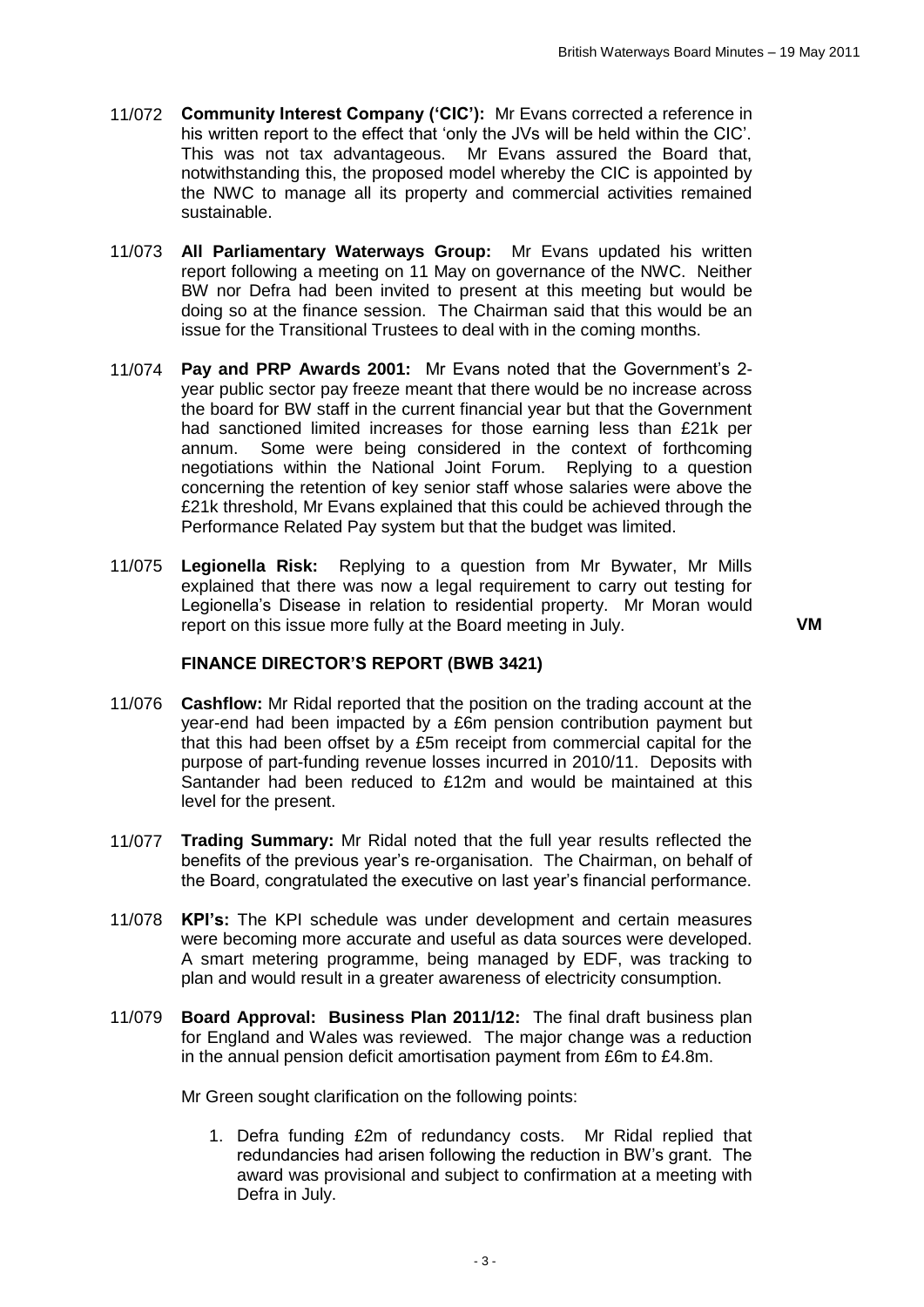- 11/072 **Community Interest Company ('CIC'):** Mr Evans corrected a reference in his written report to the effect that 'only the JVs will be held within the CIC'. This was not tax advantageous. Mr Evans assured the Board that, notwithstanding this, the proposed model whereby the CIC is appointed by the NWC to manage all its property and commercial activities remained sustainable.
- 11/073 **All Parliamentary Waterways Group:** Mr Evans updated his written report following a meeting on 11 May on governance of the NWC. Neither BW nor Defra had been invited to present at this meeting but would be doing so at the finance session. The Chairman said that this would be an issue for the Transitional Trustees to deal with in the coming months.
- 11/074 **Pay and PRP Awards 2001:** Mr Evans noted that the Government's 2 year public sector pay freeze meant that there would be no increase across the board for BW staff in the current financial year but that the Government had sanctioned limited increases for those earning less than £21k per annum. Some were being considered in the context of forthcoming negotiations within the National Joint Forum. Replying to a question concerning the retention of key senior staff whose salaries were above the £21k threshold, Mr Evans explained that this could be achieved through the Performance Related Pay system but that the budget was limited.
- 11/075 **Legionella Risk:** Replying to a question from Mr Bywater, Mr Mills explained that there was now a legal requirement to carry out testing for Legionella's Disease in relation to residential property. Mr Moran would report on this issue more fully at the Board meeting in July. **VM**

## **FINANCE DIRECTOR'S REPORT (BWB 3421)**

- 11/076 **Cashflow:** Mr Ridal reported that the position on the trading account at the year-end had been impacted by a £6m pension contribution payment but that this had been offset by a £5m receipt from commercial capital for the purpose of part-funding revenue losses incurred in 2010/11. Deposits with Santander had been reduced to £12m and would be maintained at this level for the present.
- 11/077 **Trading Summary:** Mr Ridal noted that the full year results reflected the benefits of the previous year's re-organisation. The Chairman, on behalf of the Board, congratulated the executive on last year's financial performance.
- 11/078 **KPI's:** The KPI schedule was under development and certain measures were becoming more accurate and useful as data sources were developed. A smart metering programme, being managed by EDF, was tracking to plan and would result in a greater awareness of electricity consumption.
- 11/079 **Board Approval: Business Plan 2011/12:** The final draft business plan for England and Wales was reviewed. The major change was a reduction in the annual pension deficit amortisation payment from £6m to £4.8m.

Mr Green sought clarification on the following points:

1. Defra funding £2m of redundancy costs. Mr Ridal replied that redundancies had arisen following the reduction in BW's grant. The award was provisional and subject to confirmation at a meeting with Defra in July.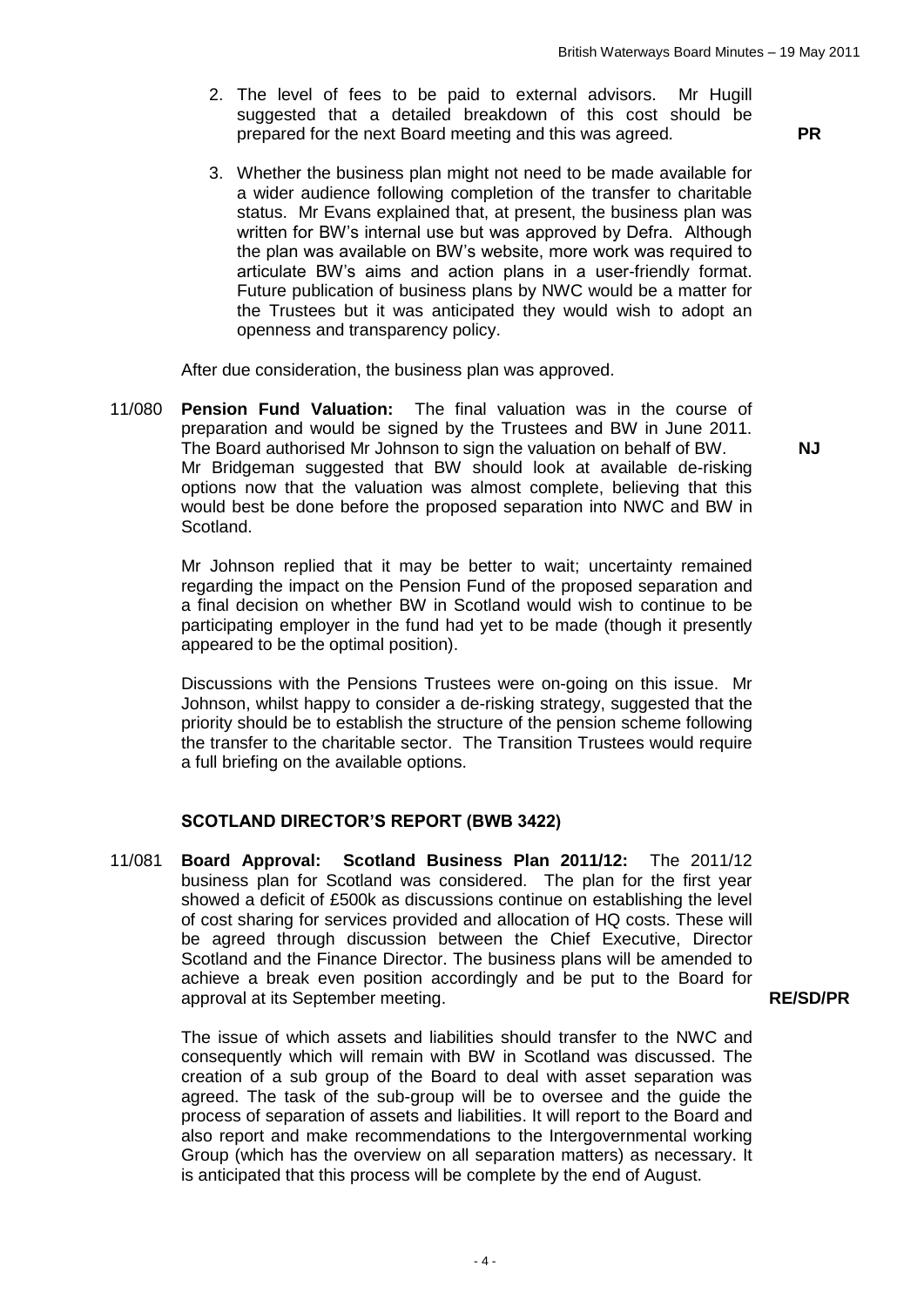- 2. The level of fees to be paid to external advisors. Mr Hugill suggested that a detailed breakdown of this cost should be prepared for the next Board meeting and this was agreed. **PR**
- 3. Whether the business plan might not need to be made available for a wider audience following completion of the transfer to charitable status. Mr Evans explained that, at present, the business plan was written for BW's internal use but was approved by Defra. Although the plan was available on BW's website, more work was required to articulate BW's aims and action plans in a user-friendly format. Future publication of business plans by NWC would be a matter for the Trustees but it was anticipated they would wish to adopt an openness and transparency policy.

After due consideration, the business plan was approved.

11/080 **Pension Fund Valuation:** The final valuation was in the course of preparation and would be signed by the Trustees and BW in June 2011. The Board authorised Mr Johnson to sign the valuation on behalf of BW. Mr Bridgeman suggested that BW should look at available de-risking options now that the valuation was almost complete, believing that this would best be done before the proposed separation into NWC and BW in Scotland.

> Mr Johnson replied that it may be better to wait; uncertainty remained regarding the impact on the Pension Fund of the proposed separation and a final decision on whether BW in Scotland would wish to continue to be participating employer in the fund had yet to be made (though it presently appeared to be the optimal position).

> Discussions with the Pensions Trustees were on-going on this issue. Mr Johnson, whilst happy to consider a de-risking strategy, suggested that the priority should be to establish the structure of the pension scheme following the transfer to the charitable sector. The Transition Trustees would require a full briefing on the available options.

#### **SCOTLAND DIRECTOR'S REPORT (BWB 3422)**

11/081 **Board Approval: Scotland Business Plan 2011/12:** The 2011/12 business plan for Scotland was considered. The plan for the first year showed a deficit of £500k as discussions continue on establishing the level of cost sharing for services provided and allocation of HQ costs. These will be agreed through discussion between the Chief Executive, Director Scotland and the Finance Director. The business plans will be amended to achieve a break even position accordingly and be put to the Board for approval at its September meeting.

> The issue of which assets and liabilities should transfer to the NWC and consequently which will remain with BW in Scotland was discussed. The creation of a sub group of the Board to deal with asset separation was agreed. The task of the sub-group will be to oversee and the guide the process of separation of assets and liabilities. It will report to the Board and also report and make recommendations to the Intergovernmental working Group (which has the overview on all separation matters) as necessary. It is anticipated that this process will be complete by the end of August.

**NJ**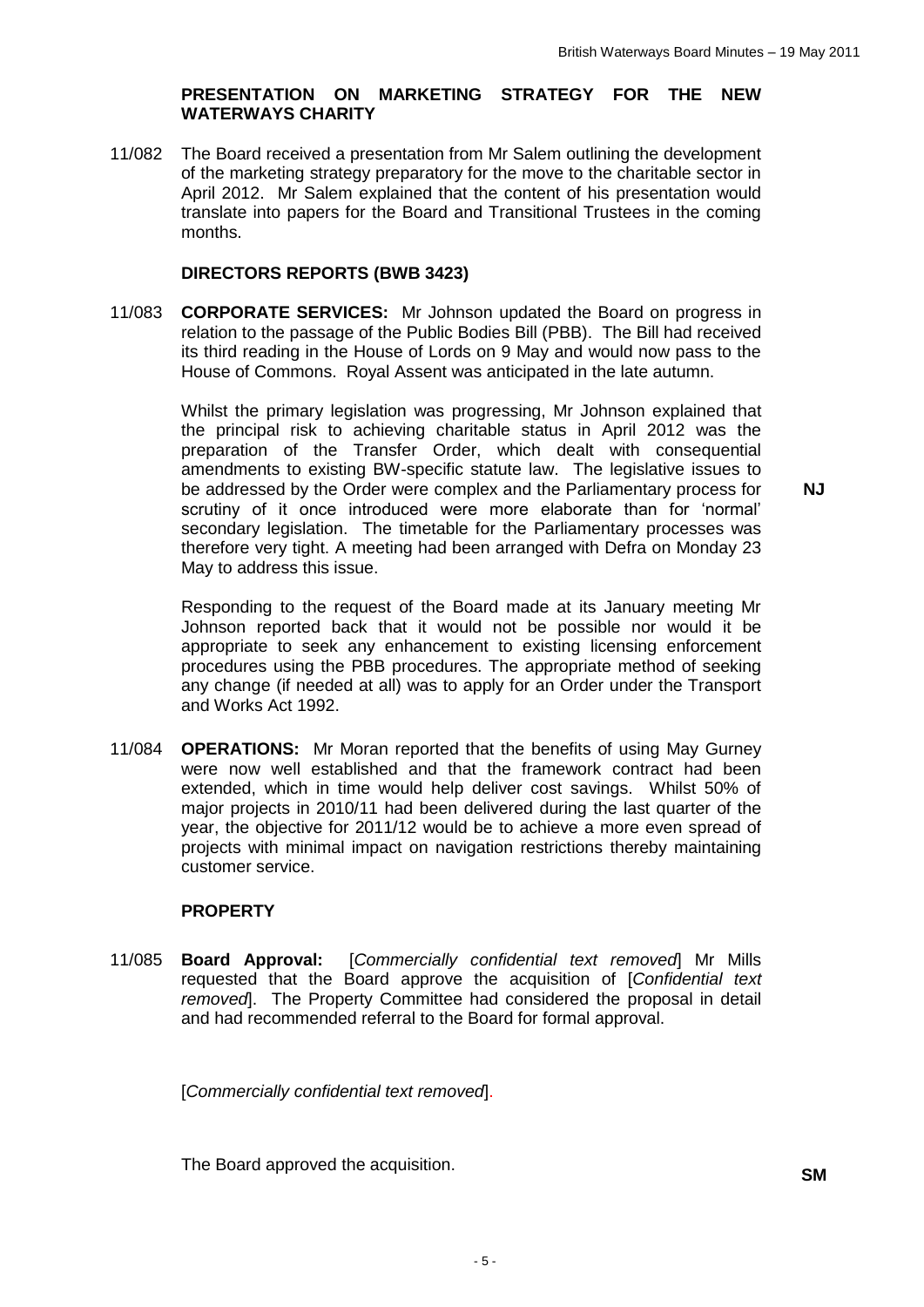## **PRESENTATION ON MARKETING STRATEGY FOR THE NEW WATERWAYS CHARITY**

11/082 The Board received a presentation from Mr Salem outlining the development of the marketing strategy preparatory for the move to the charitable sector in April 2012. Mr Salem explained that the content of his presentation would translate into papers for the Board and Transitional Trustees in the coming months.

## **DIRECTORS REPORTS (BWB 3423)**

11/083 **CORPORATE SERVICES:** Mr Johnson updated the Board on progress in relation to the passage of the Public Bodies Bill (PBB). The Bill had received its third reading in the House of Lords on 9 May and would now pass to the House of Commons. Royal Assent was anticipated in the late autumn.

> Whilst the primary legislation was progressing, Mr Johnson explained that the principal risk to achieving charitable status in April 2012 was the preparation of the Transfer Order, which dealt with consequential amendments to existing BW-specific statute law. The legislative issues to be addressed by the Order were complex and the Parliamentary process for scrutiny of it once introduced were more elaborate than for 'normal' secondary legislation. The timetable for the Parliamentary processes was therefore very tight. A meeting had been arranged with Defra on Monday 23 May to address this issue.

> Responding to the request of the Board made at its January meeting Mr Johnson reported back that it would not be possible nor would it be appropriate to seek any enhancement to existing licensing enforcement procedures using the PBB procedures. The appropriate method of seeking any change (if needed at all) was to apply for an Order under the Transport and Works Act 1992.

11/084 **OPERATIONS:** Mr Moran reported that the benefits of using May Gurney were now well established and that the framework contract had been extended, which in time would help deliver cost savings. Whilst 50% of major projects in 2010/11 had been delivered during the last quarter of the year, the objective for 2011/12 would be to achieve a more even spread of projects with minimal impact on navigation restrictions thereby maintaining customer service.

## **PROPERTY**

11/085 **Board Approval:** [*Commercially confidential text removed*] Mr Mills requested that the Board approve the acquisition of [*Confidential text removed*]. The Property Committee had considered the proposal in detail and had recommended referral to the Board for formal approval.

[*Commercially confidential text removed*].

The Board approved the acquisition. **SM**

**N.J**